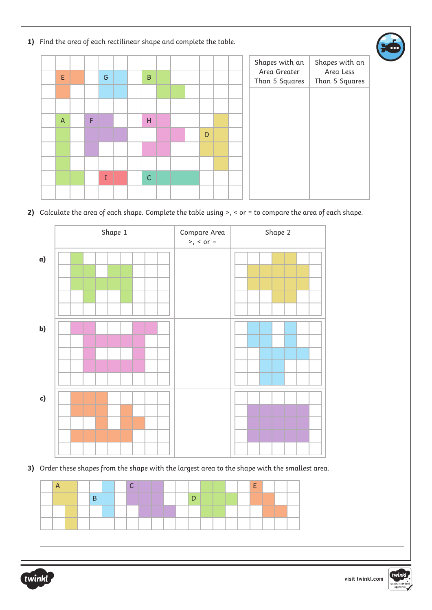



**2)** Calculate the area of each shape. Complete the table using >, < or = to compare the area of each shape.



**3)** Order these shapes from the shape with the largest area to the shape with the smallest area.





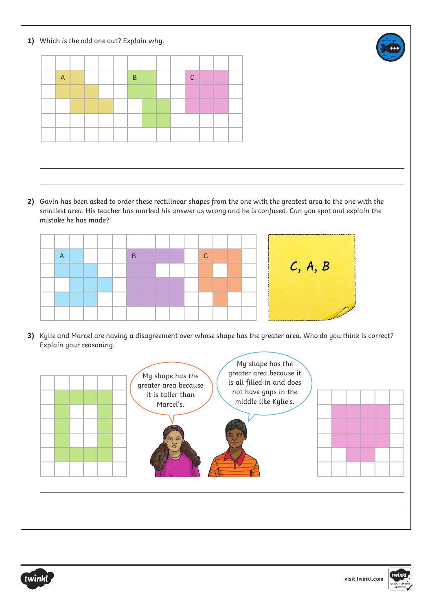